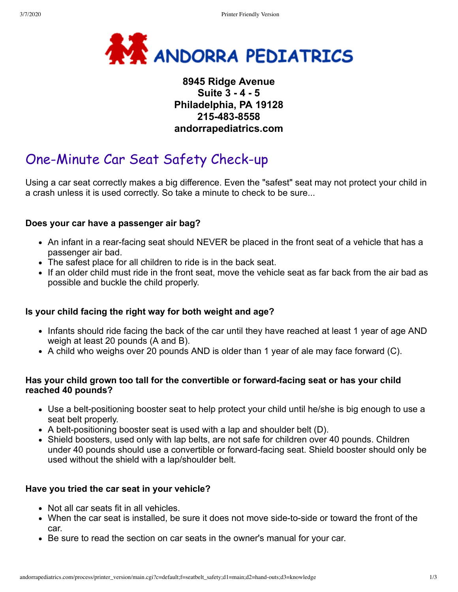

### **8945 Ridge Avenue Suite 3 - 4 - 5 Philadelphia, PA 19128 215-483-8558 andorrapediatrics.com**

# One-Minute Car Seat Safety Check-up

Using a car seat correctly makes a big difference. Even the "safest" seat may not protect your child in a crash unless it is used correctly. So take a minute to check to be sure...

### **Does your car have a passenger air bag?**

- An infant in a rear-facing seat should NEVER be placed in the front seat of a vehicle that has a passenger air bad.
- The safest place for all children to ride is in the back seat.
- If an older child must ride in the front seat, move the vehicle seat as far back from the air bad as possible and buckle the child properly.

### **Is your child facing the right way for both weight and age?**

- Infants should ride facing the back of the car until they have reached at least 1 year of age AND weigh at least 20 pounds (A and B).
- A child who weighs over 20 pounds AND is older than 1 year of ale may face forward (C).

### **Has your child grown too tall for the convertible or forward-facing seat or has your child reached 40 pounds?**

- Use a belt-positioning booster seat to help protect your child until he/she is big enough to use a seat belt properly.
- $\bullet$  A belt-positioning booster seat is used with a lap and shoulder belt (D).
- Shield boosters, used only with lap belts, are not safe for children over 40 pounds. Children under 40 pounds should use a convertible or forward-facing seat. Shield booster should only be used without the shield with a lap/shoulder belt.

### **Have you tried the car seat in your vehicle?**

- Not all car seats fit in all vehicles.
- When the car seat is installed, be sure it does not move side-to-side or toward the front of the car.
- Be sure to read the section on car seats in the owner's manual for your car.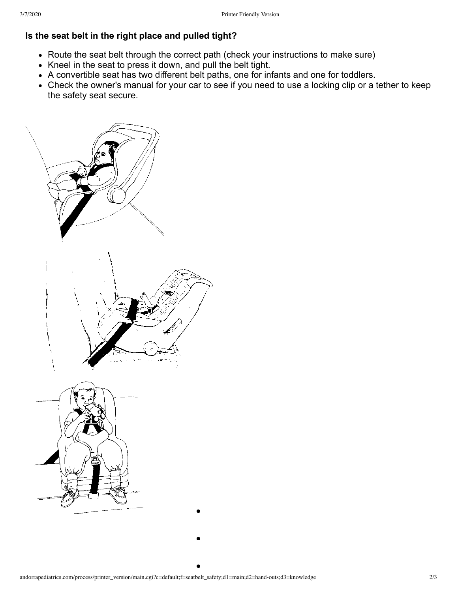## **Is the seat belt in the right place and pulled tight?**

- Route the seat belt through the correct path (check your instructions to make sure)
- Kneel in the seat to press it down, and pull the belt tight.
- A convertible seat has two different belt paths, one for infants and one for toddlers.
- Check the owner's manual for your car to see if you need to use a locking clip or a tether to keep the safety seat secure.